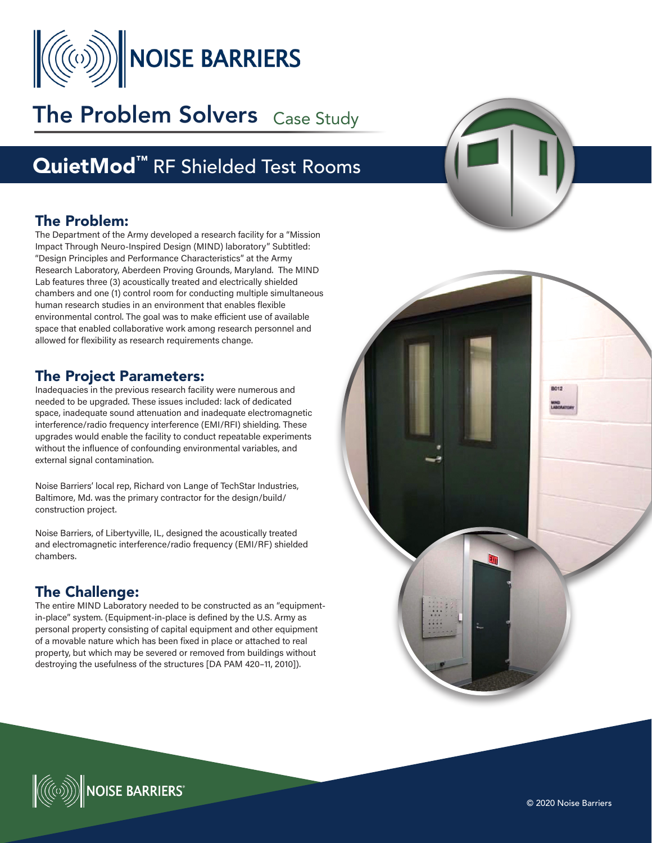

# The Problem Solvers Case Study

## QuietMod<sup>™</sup> RF Shielded Test Rooms

#### The Problem:

The Department of the Army developed a research facility for a "Mission Impact Through Neuro-Inspired Design (MIND) laboratory" Subtitled: "Design Principles and Performance Characteristics" at the Army Research Laboratory, Aberdeen Proving Grounds, Maryland. The MIND Lab features three (3) acoustically treated and electrically shielded chambers and one (1) control room for conducting multiple simultaneous human research studies in an environment that enables flexible environmental control. The goal was to make efficient use of available space that enabled collaborative work among research personnel and allowed for flexibility as research requirements change.

#### The Project Parameters:

Inadequacies in the previous research facility were numerous and needed to be upgraded. These issues included: lack of dedicated space, inadequate sound attenuation and inadequate electromagnetic interference/radio frequency interference (EMI/RFI) shielding. These upgrades would enable the facility to conduct repeatable experiments without the influence of confounding environmental variables, and external signal contamination.

Noise Barriers' local rep, Richard von Lange of TechStar Industries, Baltimore, Md. was the primary contractor for the design/build/ construction project.

Noise Barriers, of Libertyville, IL, designed the acoustically treated and electromagnetic interference/radio frequency (EMI/RF) shielded chambers.

### The Challenge:

The entire MIND Laboratory needed to be constructed as an "equipmentin-place" system. (Equipment-in-place is defined by the U.S. Army as personal property consisting of capital equipment and other equipment of a movable nature which has been fixed in place or attached to real property, but which may be severed or removed from buildings without destroying the usefulness of the structures [DA PAM 420–11, 2010]).





 $\mathbb{C}$  Noise Barriers $\mathbb{C}$ 

© 2020 Noise Barriers